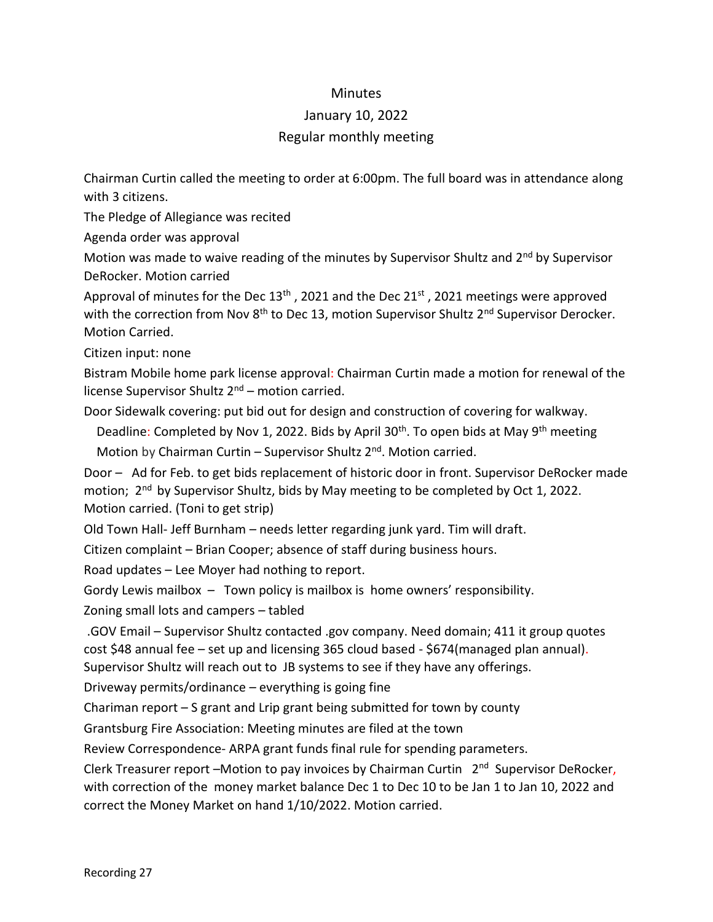## **Minutes**

## January 10, 2022

## Regular monthly meeting

Chairman Curtin called the meeting to order at 6:00pm. The full board was in attendance along with 3 citizens.

The Pledge of Allegiance was recited

Agenda order was approval

Motion was made to waive reading of the minutes by Supervisor Shultz and 2<sup>nd</sup> by Supervisor DeRocker. Motion carried

Approval of minutes for the Dec  $13<sup>th</sup>$ , 2021 and the Dec  $21<sup>st</sup>$ , 2021 meetings were approved with the correction from Nov 8<sup>th</sup> to Dec 13, motion Supervisor Shultz 2<sup>nd</sup> Supervisor Derocker. Motion Carried.

Citizen input: none

Bistram Mobile home park license approval: Chairman Curtin made a motion for renewal of the license Supervisor Shultz  $2<sup>nd</sup>$  – motion carried.

Door Sidewalk covering: put bid out for design and construction of covering for walkway.

Deadline: Completed by Nov 1, 2022. Bids by April 30<sup>th</sup>. To open bids at May 9<sup>th</sup> meeting Motion by Chairman Curtin – Supervisor Shultz  $2^{nd}$ . Motion carried.

Door – Ad for Feb. to get bids replacement of historic door in front. Supervisor DeRocker made motion; 2<sup>nd</sup> by Supervisor Shultz, bids by May meeting to be completed by Oct 1, 2022. Motion carried. (Toni to get strip)

Old Town Hall- Jeff Burnham – needs letter regarding junk yard. Tim will draft.

Citizen complaint – Brian Cooper; absence of staff during business hours.

Road updates – Lee Moyer had nothing to report.

Gordy Lewis mailbox – Town policy is mailbox is home owners' responsibility.

Zoning small lots and campers – tabled

.GOV Email – Supervisor Shultz contacted .gov company. Need domain; 411 it group quotes cost \$48 annual fee – set up and licensing 365 cloud based - \$674(managed plan annual). Supervisor Shultz will reach out to JB systems to see if they have any offerings.

Driveway permits/ordinance – everything is going fine

Chariman report – S grant and Lrip grant being submitted for town by county

Grantsburg Fire Association: Meeting minutes are filed at the town

Review Correspondence- ARPA grant funds final rule for spending parameters.

Clerk Treasurer report -Motion to pay invoices by Chairman Curtin 2<sup>nd</sup> Supervisor DeRocker, with correction of the money market balance Dec 1 to Dec 10 to be Jan 1 to Jan 10, 2022 and correct the Money Market on hand 1/10/2022. Motion carried.